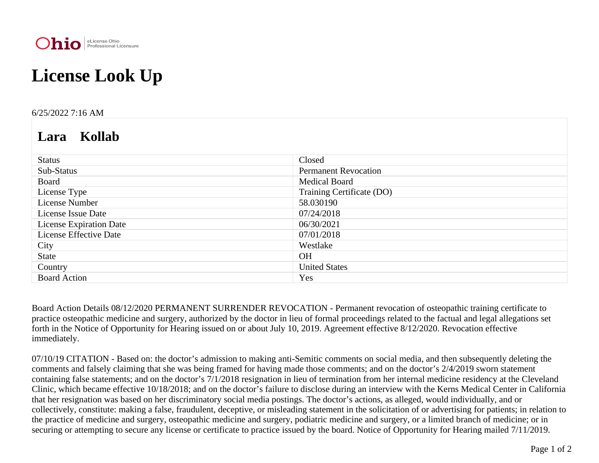

## **License Look Up**

## 6/25/2022 7:16 AM

## **Lara Kollab**

| <b>Status</b>                  | Closed                      |
|--------------------------------|-----------------------------|
| Sub-Status                     | <b>Permanent Revocation</b> |
| Board                          | <b>Medical Board</b>        |
| License Type                   | Training Certificate (DO)   |
| License Number                 | 58.030190                   |
| License Issue Date             | 07/24/2018                  |
| <b>License Expiration Date</b> | 06/30/2021                  |
| <b>License Effective Date</b>  | 07/01/2018                  |
| City                           | Westlake                    |
| <b>State</b>                   | <b>OH</b>                   |
| Country                        | <b>United States</b>        |
| <b>Board Action</b>            | Yes                         |

Board Action Details 08/12/2020 PERMANENT SURRENDER REVOCATION - Permanent revocation of osteopathic training certificate to practice osteopathic medicine and surgery, authorized by the doctor in lieu of formal proceedings related to the factual and legal allegations set forth in the Notice of Opportunity for Hearing issued on or about July 10, 2019. Agreement effective 8/12/2020. Revocation effective immediately.

07/10/19 CITATION - Based on: the doctor's admission to making anti-Semitic comments on social media, and then subsequently deleting the comments and falsely claiming that she was being framed for having made those comments; and on the doctor's 2/4/2019 sworn statement containing false statements; and on the doctor's 7/1/2018 resignation in lieu of termination from her internal medicine residency at the Cleveland Clinic, which became effective 10/18/2018; and on the doctor's failure to disclose during an interview with the Kerns Medical Center in California that her resignation was based on her discriminatory social media postings. The doctor's actions, as alleged, would individually, and or collectively, constitute: making a false, fraudulent, deceptive, or misleading statement in the solicitation of or advertising for patients; in relation to the practice of medicine and surgery, osteopathic medicine and surgery, podiatric medicine and surgery, or a limited branch of medicine; or in securing or attempting to secure any license or certificate to practice issued by the board. Notice of Opportunity for Hearing mailed 7/11/2019.